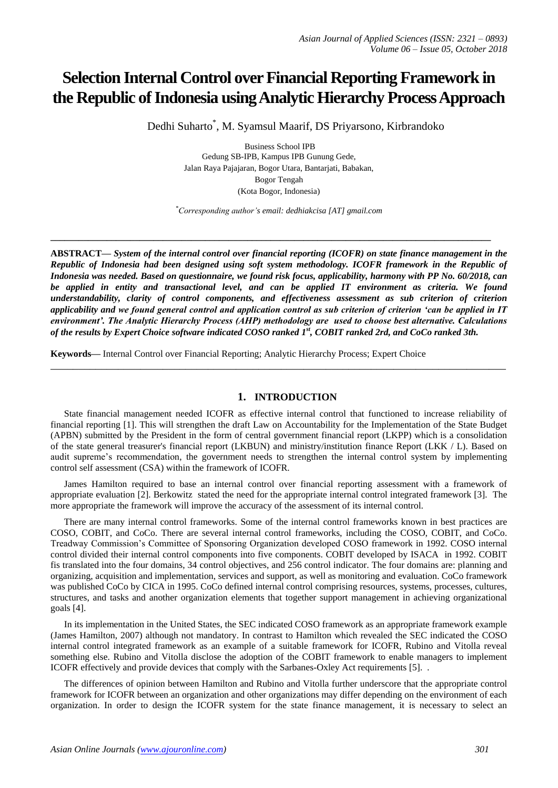# **Selection Internal Control over Financial Reporting Framework in the Republic of Indonesia using Analytic Hierarchy Process Approach**

Dedhi Suharto\* , M. Syamsul Maarif, DS Priyarsono, Kirbrandoko

Business School IPB Gedung SB-IPB, Kampus IPB Gunung Gede, Jalan Raya Pajajaran, Bogor Utara, Bantarjati, Babakan, Bogor Tengah (Kota Bogor, Indonesia)

*\*Corresponding author's email: dedhiakcisa [AT] gmail.com*

**\_\_\_\_\_\_\_\_\_\_\_\_\_\_\_\_\_\_\_\_\_\_\_\_\_\_\_\_\_\_\_\_\_\_\_\_\_\_\_\_\_\_\_\_\_\_\_\_\_\_\_\_\_\_\_\_\_\_\_\_\_\_\_\_\_\_\_\_\_\_\_\_\_\_\_\_\_\_\_\_\_\_\_\_\_\_\_\_\_\_\_\_\_\_**

**ABSTRACT—** *System of the internal control over financial reporting (ICOFR) on state finance management in the Republic of Indonesia had been designed using soft system methodology. ICOFR framework in the Republic of Indonesia was needed. Based on questionnaire, we found risk focus, applicability, harmony with PP No. 60/2018, can be applied in entity and transactional level, and can be applied IT environment as criteria. We found understandability, clarity of control components, and effectiveness assessment as sub criterion of criterion applicability and we found general control and application control as sub criterion of criterion 'can be applied in IT environment'. The Analytic Hierarchy Process (AHP) methodology are used to choose best alternative. Calculations of the results by Expert Choice software indicated COSO ranked 1st, COBIT ranked 2rd, and CoCo ranked 3th.*

**Keywords—** Internal Control over Financial Reporting; Analytic Hierarchy Process; Expert Choice

#### **1. INTRODUCTION**

**\_\_\_\_\_\_\_\_\_\_\_\_\_\_\_\_\_\_\_\_\_\_\_\_\_\_\_\_\_\_\_\_\_\_\_\_\_\_\_\_\_\_\_\_\_\_\_\_\_\_\_\_\_\_\_\_\_\_\_\_\_\_\_\_\_\_\_\_\_\_\_\_\_\_\_\_\_\_\_\_\_**

State financial management needed ICOFR as effective internal control that functioned to increase reliability of financial reporting [1]. This will strengthen the draft Law on Accountability for the Implementation of the State Budget (APBN) submitted by the President in the form of central government financial report (LKPP) which is a consolidation of the state general treasurer's financial report (LKBUN) and ministry/institution finance Report (LKK / L). Based on audit supreme's recommendation, the government needs to strengthen the internal control system by implementing control self assessment (CSA) within the framework of ICOFR.

James Hamilton required to base an internal control over financial reporting assessment with a framework of appropriate evaluation [2]. Berkowitz stated the need for the appropriate internal control integrated framework [3]. The more appropriate the framework will improve the accuracy of the assessment of its internal control.

There are many internal control frameworks. Some of the internal control frameworks known in best practices are COSO, COBIT, and CoCo. There are several internal control frameworks, including the COSO, COBIT, and CoCo. Treadway Commission's Committee of Sponsoring Organization developed COSO framework in 1992. COSO internal control divided their internal control components into five components. COBIT developed by ISACA in 1992. COBIT fis translated into the four domains, 34 control objectives, and 256 control indicator. The four domains are: planning and organizing, acquisition and implementation, services and support, as well as monitoring and evaluation. CoCo framework was published CoCo by CICA in 1995. CoCo defined internal control comprising resources, systems, processes, cultures, structures, and tasks and another organization elements that together support management in achieving organizational goals [4].

In its implementation in the United States, the SEC indicated COSO framework as an appropriate framework example (James Hamilton, 2007) although not mandatory. In contrast to Hamilton which revealed the SEC indicated the COSO internal control integrated framework as an example of a suitable framework for ICOFR, Rubino and Vitolla reveal something else. Rubino and Vitolla disclose the adoption of the COBIT framework to enable managers to implement ICOFR effectively and provide devices that comply with the Sarbanes-Oxley Act requirements [5]. .

The differences of opinion between Hamilton and Rubino and Vitolla further underscore that the appropriate control framework for ICOFR between an organization and other organizations may differ depending on the environment of each organization. In order to design the ICOFR system for the state finance management, it is necessary to select an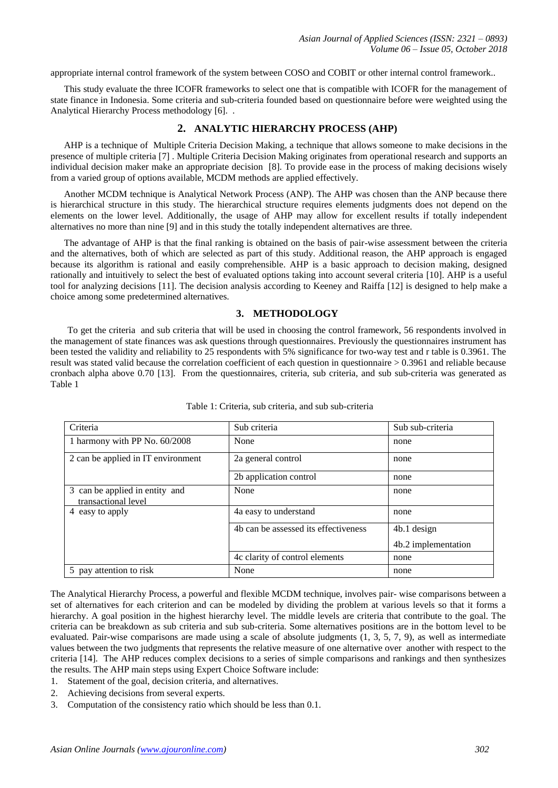appropriate internal control framework of the system between COSO and COBIT or other internal control framework..

This study evaluate the three ICOFR frameworks to select one that is compatible with ICOFR for the management of state finance in Indonesia. Some criteria and sub-criteria founded based on questionnaire before were weighted using the Analytical Hierarchy Process methodology [6]. .

# **2. ANALYTIC HIERARCHY PROCESS (AHP)**

AHP is a technique of Multiple Criteria Decision Making, a technique that allows someone to make decisions in the presence of multiple criteria [7] . Multiple Criteria Decision Making originates from operational research and supports an individual decision maker make an appropriate decision [8]. To provide ease in the process of making decisions wisely from a varied group of options available, MCDM methods are applied effectively.

Another MCDM technique is Analytical Network Process (ANP). The AHP was chosen than the ANP because there is hierarchical structure in this study. The hierarchical structure requires elements judgments does not depend on the elements on the lower level. Additionally, the usage of AHP may allow for excellent results if totally independent alternatives no more than nine [9] and in this study the totally independent alternatives are three.

The advantage of AHP is that the final ranking is obtained on the basis of pair-wise assessment between the criteria and the alternatives, both of which are selected as part of this study. Additional reason, the AHP approach is engaged because its algorithm is rational and easily comprehensible. AHP is a basic approach to decision making, designed rationally and intuitively to select the best of evaluated options taking into account several criteria [10]. AHP is a useful tool for analyzing decisions [11]. The decision analysis according to Keeney and Raiffa [12] is designed to help make a choice among some predetermined alternatives.

## **3. METHODOLOGY**

To get the criteria and sub criteria that will be used in choosing the control framework, 56 respondents involved in the management of state finances was ask questions through questionnaires. Previously the questionnaires instrument has been tested the validity and reliability to 25 respondents with 5% significance for two-way test and r table is 0.3961. The result was stated valid because the correlation coefficient of each question in questionnaire > 0.3961 and reliable because cronbach alpha above 0.70 [13]. From the questionnaires, criteria, sub criteria, and sub sub-criteria was generated as Table 1

| Criteria                                              | Sub criteria                         | Sub sub-criteria    |
|-------------------------------------------------------|--------------------------------------|---------------------|
| 1 harmony with PP No. 60/2008                         | None                                 | none                |
| 2 can be applied in IT environment                    | 2a general control                   | none                |
|                                                       | 2b application control               | none                |
| 3 can be applied in entity and<br>transactional level | None                                 | none                |
| 4 easy to apply                                       | 4a easy to understand                | none                |
|                                                       | 4b can be assessed its effectiveness | 4b.1 design         |
|                                                       |                                      | 4b.2 implementation |
|                                                       | 4c clarity of control elements       | none                |
| 5 pay attention to risk                               | None                                 | none                |

Table 1: Criteria, sub criteria, and sub sub-criteria

The Analytical Hierarchy Process, a powerful and flexible MCDM technique, involves pair- wise comparisons between a set of alternatives for each criterion and can be modeled by dividing the problem at various levels so that it forms a hierarchy. A goal position in the highest hierarchy level. The middle levels are criteria that contribute to the goal. The criteria can be breakdown as sub criteria and sub sub-criteria. Some alternatives positions are in the bottom level to be evaluated. Pair-wise comparisons are made using a scale of absolute judgments (1, 3, 5, 7, 9), as well as intermediate values between the two judgments that represents the relative measure of one alternative over another with respect to the criteria [14]. The AHP reduces complex decisions to a series of simple comparisons and rankings and then synthesizes the results. The AHP main steps using Expert Choice Software include:

- 1. Statement of the goal, decision criteria, and alternatives.
- 2. Achieving decisions from several experts.
- 3. Computation of the consistency ratio which should be less than 0.1.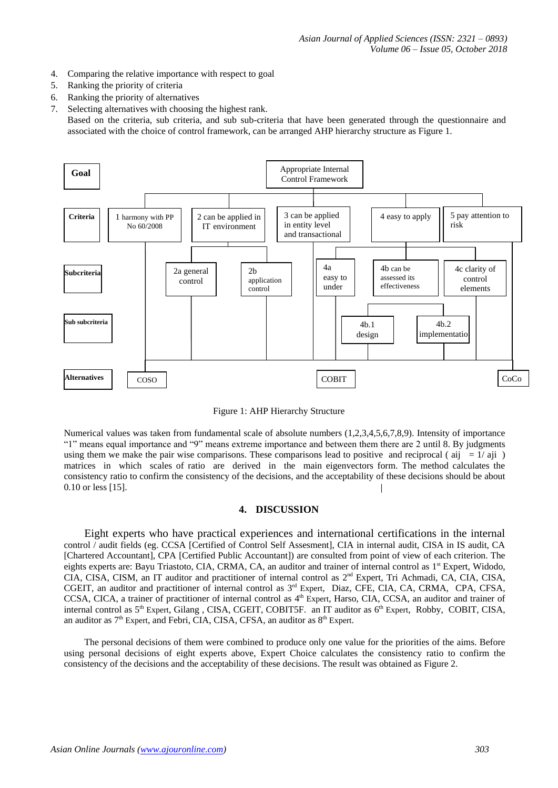- 4. Comparing the relative importance with respect to goal
- 5. Ranking the priority of criteria
- 6. Ranking the priority of alternatives
- 7. Selecting alternatives with choosing the highest rank. Based on the criteria, sub criteria, and sub sub-criteria that have been generated through the questionnaire and associated with the choice of control framework, can be arranged AHP hierarchy structure as Figure 1.





Numerical values was taken from fundamental scale of absolute numbers (1,2,3,4,5,6,7,8,9). Intensity of importance "1" means equal importance and "9" means extreme importance and between them there are 2 until 8. By judgments using them we make the pair wise comparisons. These comparisons lead to positive and reciprocal ( $aij = 1/aji$ ) matrices in which scales of ratio are derived in the main eigenvectors form. The method calculates the consistency ratio to confirm the consistency of the decisions, and the acceptability of these decisions should be about 0.10 or less [15].

#### **4. DISCUSSION**

Eight experts who have practical experiences and international certifications in the internal control / audit fields (eg. CCSA [Certified of Control Self Assesment], CIA in internal audit, CISA in IS audit, CA [Chartered Accountant], CPA [Certified Public Accountant]) are consulted from point of view of each criterion. The eights experts are: Bayu Triastoto, CIA, CRMA, CA, an auditor and trainer of internal control as 1<sup>st</sup> Expert, Widodo, CIA, CISA, CISM, an IT auditor and practitioner of internal control as 2<sup>nd</sup> Expert, Tri Achmadi, CA, CIA, CISA, CGEIT, an auditor and practitioner of internal control as 3<sup>rd</sup> Expert, Diaz, CFE, CIA, CA, CRMA, CPA, CFSA, CCSA, CICA, a trainer of practitioner of internal control as 4<sup>th</sup> Expert, Harso, CIA, CCSA, an auditor and trainer of internal control as 5<sup>th</sup> Expert, Gilang, CISA, CGEIT, COBIT5F. an IT auditor as 6<sup>th</sup> Expert, Robby, COBIT, CISA, an auditor as  $7<sup>th</sup>$  Expert, and Febri, CIA, CISA, CFSA, an auditor as  $8<sup>th</sup>$  Expert.

The personal decisions of them were combined to produce only one value for the priorities of the aims. Before using personal decisions of eight experts above, Expert Choice calculates the consistency ratio to confirm the consistency of the decisions and the acceptability of these decisions. The result was obtained as Figure 2.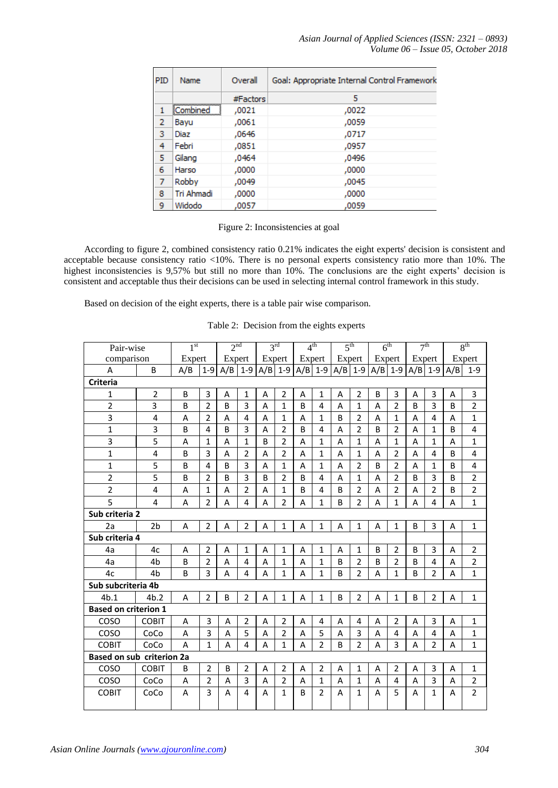*Asian Journal of Applied Sciences (ISSN: 2321 – 0893) Volume 06 – Issue 05, October 2018*

 $\overline{a}$ 

| <b>PID</b>     | Name              | Overall  | Goal: Appropriate Internal Control Framework |
|----------------|-------------------|----------|----------------------------------------------|
|                |                   | #Factors | 5                                            |
| 1              | <b>ECombined</b>  | ,0021    | ,0022                                        |
| $\overline{2}$ | Bayu              | ,0061    | ,0059                                        |
| 3              | Diaz              | ,0646    | ,0717                                        |
| 4              | Febri             | ,0851    | ,0957                                        |
| 5              | Gilang            | ,0464    | ,0496                                        |
| 6              | Harso             | ,0000    | ,0000                                        |
| $\overline{7}$ | Robby             | ,0049    | ,0045                                        |
| 8              | <b>Tri Ahmadi</b> | ,0000    | ,0000                                        |
| 9              | Widodo            | .0057    | ,0059                                        |

#### Figure 2: Inconsistencies at goal

According to figure 2, combined consistency ratio 0.21% indicates the eight experts' decision is consistent and acceptable because consistency ratio <10%. There is no personal experts consistency ratio more than 10%. The highest inconsistencies is 9,57% but still no more than 10%. The conclusions are the eight experts' decision is consistent and acceptable thus their decisions can be used in selecting internal control framework in this study.

Based on decision of the eight experts, there is a table pair wise comparison.

| Table 2: Decision from the eights experts |  |  |
|-------------------------------------------|--|--|
|                                           |  |  |

| Pair-wise                   |                | 1 <sup>st</sup> |                | 2 <sup>nd</sup> |                |   | 3 <sup>rd</sup> | 4 <sup>th</sup> |                |              | 5 <sup>th</sup> | 6 <sup>th</sup> |                | 7 <sup>th</sup> |                |                | 8 <sup>th</sup> |
|-----------------------------|----------------|-----------------|----------------|-----------------|----------------|---|-----------------|-----------------|----------------|--------------|-----------------|-----------------|----------------|-----------------|----------------|----------------|-----------------|
| comparison                  |                | Expert          |                | Expert          |                |   | Expert          | Expert          |                |              | Expert          | Expert          |                | Expert          |                |                | Expert          |
| Α                           | B              | A/B             | $1 - 9$        | A/B             | $1 - 9$        |   | $A/B$ 1-9       |                 | $A/B$   1-9    |              | $A/B$ 1-9       | $A/B$ 1-9       |                | $A/B$ 1-9       |                | A/B            | $1 - 9$         |
| <b>Criteria</b>             |                |                 |                |                 |                |   |                 |                 |                |              |                 |                 |                |                 |                |                |                 |
| $\mathbf{1}$                | $\overline{2}$ | B               | 3              | A               | $\mathbf{1}$   | A | $\overline{2}$  | A               | $\mathbf{1}$   | A            | $\overline{2}$  | B               | 3              | A               | 3              | A              | 3               |
| $\overline{2}$              | 3              | B               | $\overline{2}$ | B               | 3              | A | $\mathbf{1}$    | B               | 4              | A            | $\mathbf{1}$    | A               | $\overline{2}$ | B               | 3              | B              | $\overline{2}$  |
| 3                           | 4              | A               | $\overline{2}$ | A               | $\overline{4}$ | A | $\mathbf{1}$    | A               | $\mathbf{1}$   | <sub>B</sub> | $\overline{2}$  | A               | $\mathbf{1}$   | A               | 4              | A              | $\mathbf{1}$    |
| $\mathbf{1}$                | 3              | B               | 4              | B               | 3              | A | $\overline{2}$  | B               | $\overline{4}$ | A            | $\overline{2}$  | B               | $\overline{2}$ | A               | $\mathbf{1}$   | B              | 4               |
| 3                           | 5              | A               | 1              | A               | $\mathbf{1}$   | B | $\overline{2}$  | A               | 1              | A            | $\mathbf{1}$    | A               | $\mathbf{1}$   | A               | 1              | A              | 1               |
| $\mathbf{1}$                | 4              | B               | 3              | A               | $\overline{2}$ | A | $\overline{2}$  | A               | $\mathbf{1}$   | A            | $\mathbf{1}$    | A               | $\overline{2}$ | A               | 4              | B              | 4               |
| $\mathbf{1}$                | 5              | B               | 4              | B               | 3              | A | 1               | A               | $\mathbf{1}$   | A            | 2               | B               | $\overline{2}$ | A               | 1              | <sub>B</sub>   | 4               |
| $\overline{2}$              | 5              | B               | $\overline{2}$ | B               | 3              | B | $\overline{2}$  | B               | $\overline{4}$ | A            | $\mathbf{1}$    | A               | $\overline{2}$ | B               | 3              | B              | $\overline{2}$  |
| $\overline{2}$              | 4              | A               | $\mathbf{1}$   | A               | $\overline{2}$ | A | $\mathbf{1}$    | B               | 4              | B            | $\overline{2}$  | A               | $\overline{2}$ | A               | $\overline{2}$ | B              | $\overline{2}$  |
| 5                           | 4              | A               | $\overline{2}$ | A               | 4              | A | $\overline{2}$  | A               | 1              | B            | $\overline{2}$  | A               | $\mathbf{1}$   | A               | 4              | A              | $\mathbf{1}$    |
| Sub criteria 2              |                |                 |                |                 |                |   |                 |                 |                |              |                 |                 |                |                 |                |                |                 |
| 2a                          | 2 <sub>b</sub> | A               | $\overline{2}$ | A               | $\overline{2}$ | A | $\mathbf{1}$    | A               | $\mathbf{1}$   | A            | $\mathbf{1}$    | A               | $\mathbf{1}$   | B               | 3              | A              | $\mathbf{1}$    |
| Sub criteria 4              |                |                 |                |                 |                |   |                 |                 |                |              |                 |                 |                |                 |                |                |                 |
| 4a                          | 4c             | A               | $\overline{2}$ | A               | $\mathbf{1}$   | A | $\mathbf{1}$    | A               | $\mathbf{1}$   | A            | $\mathbf{1}$    | B               | $\overline{2}$ | B               | 3              | A              | $\overline{2}$  |
| 4a                          | 4 <sub>b</sub> | B               | $\overline{2}$ | A               | $\overline{4}$ | A | $\mathbf{1}$    | A               | $\overline{1}$ | B            | $\overline{2}$  | B               | $\overline{2}$ | B               | 4              | A              | $\overline{2}$  |
| 4c                          | 4b             | B               | 3              | A               | $\overline{4}$ | A | $\mathbf{1}$    | A               | $\mathbf{1}$   | B            | $\overline{2}$  | A               | $\mathbf{1}$   | B               | $\overline{2}$ | A              | $\mathbf{1}$    |
| Sub subcriteria 4b          |                |                 |                |                 |                |   |                 |                 |                |              |                 |                 |                |                 |                |                |                 |
| 4b.1                        | 4b.2           | A               | $\overline{2}$ | B               | $\overline{2}$ | A | $\mathbf{1}$    | A               | $\mathbf{1}$   | B            | $\overline{2}$  | A               | $\mathbf{1}$   | B               | $\overline{2}$ | A              | $\mathbf{1}$    |
| <b>Based on criterion 1</b> |                |                 |                |                 |                |   |                 |                 |                |              |                 |                 |                |                 |                |                |                 |
| COSO                        | <b>COBIT</b>   | A               | 3              | A               | $\overline{2}$ | Α | $\overline{2}$  | A               | 4              | Α            | 4               | Α               | $\overline{2}$ | Α               | 3              | A              | $\mathbf{1}$    |
| COSO                        | CoCo           | A               | 3              | $\overline{A}$  | 5              | A | $\overline{2}$  | A               | 5              | A            | 3               | $\overline{A}$  | 4              | A               | 4              | $\overline{A}$ | $\mathbf{1}$    |
| <b>COBIT</b>                | CoCo           | A               | $\mathbf{1}$   | A               | $\overline{4}$ | A | $\mathbf{1}$    | A               | $\overline{2}$ | B            | $\overline{2}$  | A               | 3              | A               | $\overline{2}$ | A              | $\mathbf{1}$    |
| Based on sub criterion 2a   |                |                 |                |                 |                |   |                 |                 |                |              |                 |                 |                |                 |                |                |                 |
| COSO                        | <b>COBIT</b>   | B               | $\overline{2}$ | B               | $\overline{2}$ | A | $\overline{2}$  | A               | $\overline{2}$ | A            | $\mathbf{1}$    | A               | $\overline{2}$ | A               | 3              | A              | $\mathbf{1}$    |
| COSO                        | CoCo           | A               | $\overline{2}$ | A               | 3              | A | $\overline{2}$  | A               | $\mathbf{1}$   | A            | $\mathbf{1}$    | A               | 4              | A               | 3              | A              | $\overline{2}$  |
| <b>COBIT</b>                | CoCo           | A               | 3              | A               | 4              | A | 1               | B               | $\overline{2}$ | A            | $\mathbf{1}$    | A               | 5              | A               | 1              | A              | $\overline{2}$  |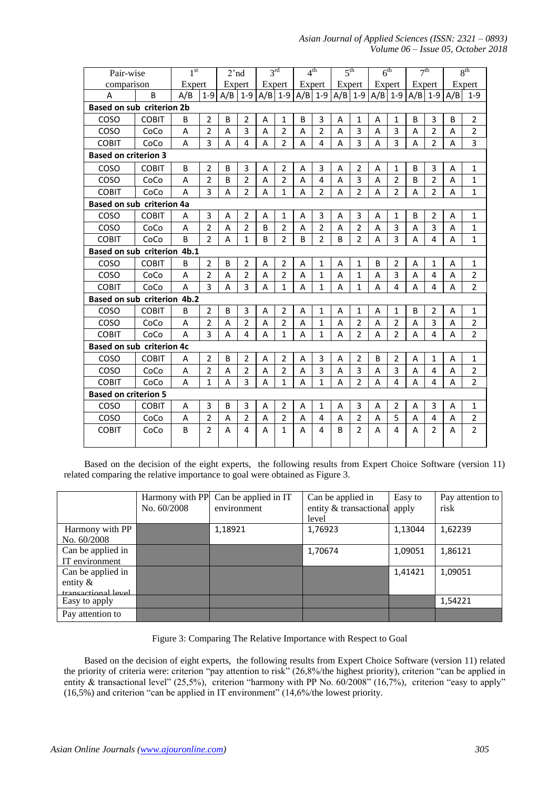| Pair-wise                        |                                  | 1 <sup>st</sup> |                | 2'nd   |                |   | 3 <sup>rd</sup> |   | 4 <sup>th</sup> |    | 5 <sup>th</sup> | 6 <sup>th</sup> |                |   | 7 <sup>th</sup> |                | 8 <sup>th</sup> |
|----------------------------------|----------------------------------|-----------------|----------------|--------|----------------|---|-----------------|---|-----------------|----|-----------------|-----------------|----------------|---|-----------------|----------------|-----------------|
| comparison                       |                                  | Expert          |                | Expert |                |   | Expert          |   | Expert          |    | Expert          | Expert          |                |   | Expert          |                | Expert          |
| A                                | B                                | A/B             | $1 - 9$        | A/B    | $1-9$          |   | $A/B$ 1-9       |   | $A/B$ 1-9       |    | $A/B$   1-9     |                 | $A/B$ 1-9      |   | $A/B$   1-9     | A/B            | $1 - 9$         |
|                                  | <b>Based on sub criterion 2b</b> |                 |                |        |                |   |                 |   |                 |    |                 |                 |                |   |                 |                |                 |
| COSO                             | <b>COBIT</b>                     | B               | $\overline{2}$ | B      | $\overline{2}$ | A | $\mathbf{1}$    | B | 3               | A  | $\mathbf{1}$    | A               | $\mathbf{1}$   | B | 3               | B              | $\overline{2}$  |
| COSO                             | CoCo                             | A               | $\overline{2}$ | A      | 3              | A | $\overline{2}$  | A | $\overline{2}$  | A  | $\overline{3}$  | A               | $\overline{3}$ | A | $\overline{2}$  | A              | $\overline{2}$  |
| <b>COBIT</b>                     | CoCo                             | A               | $\overline{3}$ | A      | 4              | A | $\overline{2}$  | A | 4               | A  | 3               | A               | 3              | A | $\overline{2}$  | A              | 3               |
| <b>Based on criterion 3</b>      |                                  |                 |                |        |                |   |                 |   |                 |    |                 |                 |                |   |                 |                |                 |
| COSO                             | <b>COBIT</b>                     | B               | $\overline{2}$ | B      | 3              | A | $\overline{2}$  | A | 3               | A  | $\overline{2}$  | A               | $\mathbf{1}$   | B | 3               | A              | $\mathbf{1}$    |
| COSO                             | CoCo                             | A               | $\overline{2}$ | B      | $\overline{2}$ | A | $\overline{2}$  | A | 4               | A  | 3               | A               | $\overline{2}$ | B | $\overline{2}$  | A              | $\mathbf{1}$    |
| <b>COBIT</b>                     | CoCo                             | A               | 3              | A      | $\overline{2}$ | А | $\mathbf{1}$    | A | $\overline{2}$  | A  | $\overline{2}$  | A               | $\overline{2}$ | А | $\overline{2}$  | A              | $\mathbf{1}$    |
| Based on sub criterion 4a        |                                  |                 |                |        |                |   |                 |   |                 |    |                 |                 |                |   |                 |                |                 |
| COSO                             | <b>COBIT</b>                     | A               | 3              | A      | $\overline{2}$ | A | $\mathbf{1}$    | A | 3               | A  | 3               | A               | $\mathbf{1}$   | B | 2               | A              | 1               |
| COSO                             | CoCo                             | A               | $\overline{2}$ | A      | $\overline{2}$ | B | $\overline{2}$  | A | $\overline{2}$  | A  | $\overline{2}$  | A               | 3              | A | 3               | A              | 1               |
| <b>COBIT</b>                     | CoCo                             | <sub>B</sub>    | $\overline{2}$ | A      | $\mathbf{1}$   | B | $\overline{2}$  | B | $\overline{2}$  | B  | $\overline{2}$  | A               | 3              | A | 4               | A              | 1               |
| Based on sub criterion 4b.1      |                                  |                 |                |        |                |   |                 |   |                 |    |                 |                 |                |   |                 |                |                 |
| COSO                             | <b>COBIT</b>                     | B               | $\overline{2}$ | B      | $\overline{2}$ | A | $\overline{2}$  | A | 1               | A  | $\mathbf{1}$    | B               | 2              | A | $\mathbf{1}$    | A              | 1               |
| COSO                             | CoCo                             | A               | $\overline{2}$ | A      | $\overline{2}$ | A | $\overline{2}$  | A | $\mathbf{1}$    | A  | $\mathbf{1}$    | A               | 3              | A | 4               | A              | $\overline{2}$  |
| <b>COBIT</b>                     | CoCo                             | $\overline{A}$  | 3              | A      | 3              | A | $\mathbf{1}$    | A | $\mathbf{1}$    | A  | $\mathbf{1}$    | A               | $\overline{4}$ | А | 4               | А              | $\overline{2}$  |
| Based on sub criterion 4b.2      |                                  |                 |                |        |                |   |                 |   |                 |    |                 |                 |                |   |                 |                |                 |
| COSO                             | <b>COBIT</b>                     | B               | $\overline{2}$ | B      | 3              | A | $\overline{2}$  | A | $\mathbf{1}$    | A  | $\mathbf{1}$    | A               | $\mathbf{1}$   | B | $\overline{2}$  | $\overline{A}$ | $\mathbf{1}$    |
| COSO                             | CoCo                             | A               | $\overline{2}$ | A      | $\overline{2}$ | A | $\overline{2}$  | A | $\mathbf{1}$    | A  | $\overline{2}$  | A               | $\overline{2}$ | A | $\overline{3}$  | A              | $\overline{2}$  |
| <b>COBIT</b>                     | CoCo                             | A               | $\overline{3}$ | А      | 4              | А | $\mathbf{1}$    | A | $\mathbf{1}$    | А  | $\overline{2}$  | A               | $\overline{2}$ | А | 4               | A              | $\overline{2}$  |
| <b>Based on sub criterion 4c</b> |                                  |                 |                |        |                |   |                 |   |                 |    |                 |                 |                |   |                 |                |                 |
| COSO                             | <b>COBIT</b>                     | A               | $\overline{2}$ | B      | $\overline{2}$ | A | $\overline{2}$  | A | $\overline{3}$  | A  | $\overline{2}$  | B               | $\overline{2}$ | A | $\mathbf{1}$    | A              | $\mathbf{1}$    |
| COSO                             | CoCo                             | A               | $\overline{2}$ | A      | $\overline{2}$ | A | $\overline{2}$  | A | $\overline{3}$  | A  | $\overline{3}$  | A               | 3              | Α | 4               | A              | $\overline{2}$  |
| <b>COBIT</b>                     | CoCo                             | A               | 1              | A      | 3              | A | $\mathbf{1}$    | A | $\mathbf{1}$    | A  | $\overline{2}$  | A               | $\overline{4}$ | A | 4               | A              | $\overline{2}$  |
| <b>Based on criterion 5</b>      |                                  |                 |                |        |                |   |                 |   |                 |    |                 |                 |                |   |                 |                |                 |
| COSO                             | <b>COBIT</b>                     | A               | 3              | B      | 3              | Α | $\overline{2}$  | A | $\mathbf{1}$    | Α  | 3               | Α               | $\overline{2}$ | A | 3               | A              | 1               |
| COSO                             | CoCo                             | A               | $\overline{2}$ | A      | $\overline{2}$ | A | $\overline{2}$  | A | $\overline{4}$  | A  | $\overline{2}$  | A               | 5              | A | 4               | A              | $\overline{2}$  |
| <b>COBIT</b>                     | CoCo                             | B               | $\overline{2}$ | A      | 4              | A | $\mathbf{1}$    | A | 4               | B. | 2               | A               | $\overline{a}$ | А | $\overline{2}$  | А              | $\overline{2}$  |

Based on the decision of the eight experts, the following results from Expert Choice Software (version 11) related comparing the relative importance to goal were obtained as Figure 3.

|                     |             | Harmony with PP Can be applied in IT | Can be applied in            | Easy to | Pay attention to |
|---------------------|-------------|--------------------------------------|------------------------------|---------|------------------|
|                     | No. 60/2008 | environment                          | entity & transactional apply |         | risk             |
|                     |             |                                      | level                        |         |                  |
| Harmony with PP     |             | 1,18921                              | 1,76923                      | 1,13044 | 1,62239          |
| No. 60/2008         |             |                                      |                              |         |                  |
| Can be applied in   |             |                                      | 1,70674                      | 1,09051 | 1,86121          |
| IT environment      |             |                                      |                              |         |                  |
| Can be applied in   |             |                                      |                              | 1,41421 | 1,09051          |
| entity $\&$         |             |                                      |                              |         |                  |
| transactional level |             |                                      |                              |         |                  |
| Easy to apply       |             |                                      |                              |         | 1,54221          |
| Pay attention to    |             |                                      |                              |         |                  |
|                     |             |                                      |                              |         |                  |

Figure 3: Comparing The Relative Importance with Respect to Goal

Based on the decision of eight experts, the following results from Expert Choice Software (version 11) related the priority of criteria were: criterion "pay attention to risk" (26,8%/the highest priority), criterion "can be applied in entity & transactional level" (25,5%), criterion "harmony with PP No. 60/2008" (16,7%), criterion "easy to apply" (16,5%) and criterion "can be applied in IT environment" (14,6%/the lowest priority.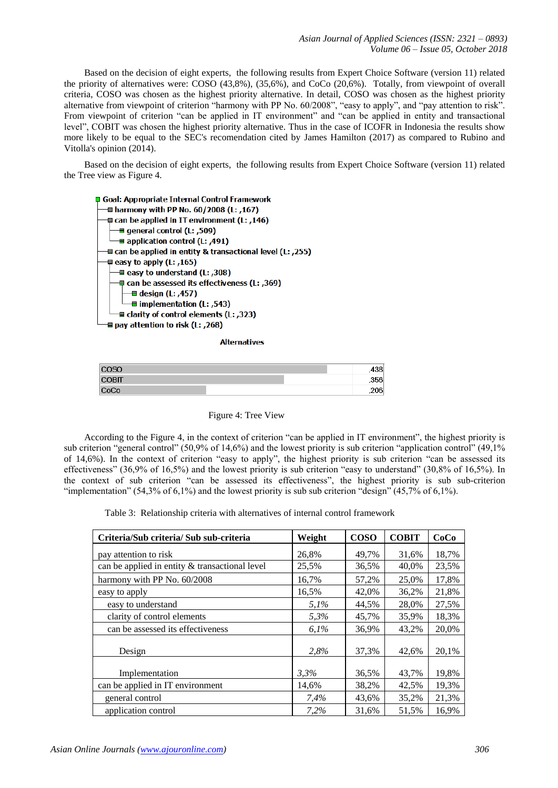Based on the decision of eight experts, the following results from Expert Choice Software (version 11) related the priority of alternatives were: COSO (43,8%), (35,6%), and CoCo (20,6%). Totally, from viewpoint of overall criteria, COSO was chosen as the highest priority alternative. In detail, COSO was chosen as the highest priority alternative from viewpoint of criterion "harmony with PP No. 60/2008", "easy to apply", and "pay attention to risk". From viewpoint of criterion "can be applied in IT environment" and "can be applied in entity and transactional level", COBIT was chosen the highest priority alternative. Thus in the case of ICOFR in Indonesia the results show more likely to be equal to the SEC's recomendation cited by James Hamilton (2017) as compared to Rubino and Vitolla's opinion (2014).

Based on the decision of eight experts, the following results from Expert Choice Software (version 11) related the Tree view as Figure 4.



**Alternatives** 

| $\sim$ | ,400       |
|--------|------------|
| COBIL  | <b>OEC</b> |
| CoCo   | ,zvo       |

Figure 4: Tree View

According to the Figure 4, in the context of criterion "can be applied in IT environment", the highest priority is sub criterion "general control" (50,9% of 14,6%) and the lowest priority is sub criterion "application control" (49,1%) of 14,6%). In the context of criterion "easy to apply", the highest priority is sub criterion "can be assessed its effectiveness" (36,9% of 16,5%) and the lowest priority is sub criterion "easy to understand" (30,8% of 16,5%). In the context of sub criterion "can be assessed its effectiveness", the highest priority is sub sub-criterion "implementation" (54,3% of 6,1%) and the lowest priority is sub sub criterion "design" (45,7% of 6,1%).

Table 3: Relationship criteria with alternatives of internal control framework

| Criteria/Sub criteria/Sub sub-criteria         | Weight | <b>COSO</b> | <b>COBIT</b> | CoCo  |
|------------------------------------------------|--------|-------------|--------------|-------|
| pay attention to risk                          | 26,8%  | 49,7%       | 31,6%        | 18,7% |
| can be applied in entity & transactional level | 25,5%  | 36,5%       | 40,0%        | 23,5% |
| harmony with PP No. 60/2008                    | 16,7%  | 57,2%       | 25,0%        | 17,8% |
| easy to apply                                  | 16,5%  | 42,0%       | 36,2%        | 21,8% |
| easy to understand                             | 5,1%   | 44,5%       | 28,0%        | 27,5% |
| clarity of control elements                    | 5,3%   | 45,7%       | 35,9%        | 18,3% |
| can be assessed its effectiveness              | 6,1%   | 36,9%       | 43,2%        | 20,0% |
| Design                                         | 2,8%   | 37,3%       | 42.6%        | 20,1% |
| Implementation                                 | 3.3%   | 36,5%       | 43,7%        | 19,8% |
| can be applied in IT environment               | 14,6%  | 38,2%       | 42,5%        | 19,3% |
| general control                                | 7,4%   | 43,6%       | 35,2%        | 21,3% |
| application control                            | 7,2%   | 31,6%       | 51,5%        | 16,9% |